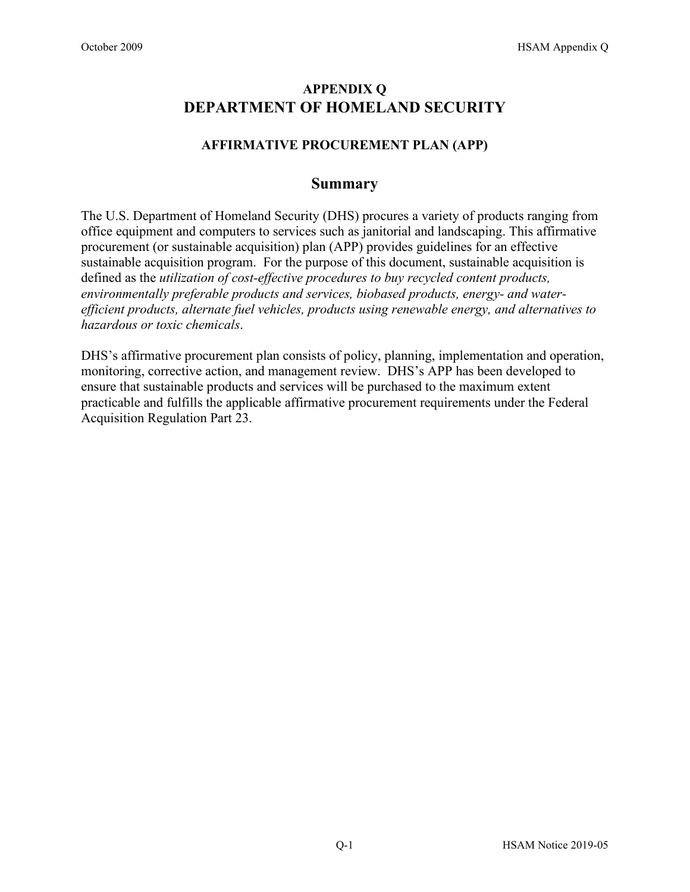# **APPENDIX Q DEPARTMENT OF HOMELAND SECURITY**

## **AFFIRMATIVE PROCUREMENT PLAN (APP)**

## **Summary**

The U.S. Department of Homeland Security (DHS) procures a variety of products ranging from office equipment and computers to services such as janitorial and landscaping. This affirmative procurement (or sustainable acquisition) plan (APP) provides guidelines for an effective sustainable acquisition program. For the purpose of this document, sustainable acquisition is defined as the *utilization of cost-effective procedures to buy recycled content products, environmentally preferable products and services, biobased products, energy- and waterefficient products, alternate fuel vehicles, products using renewable energy, and alternatives to hazardous or toxic chemicals*.

DHS's affirmative procurement plan consists of policy, planning, implementation and operation, monitoring, corrective action, and management review. DHS's APP has been developed to ensure that sustainable products and services will be purchased to the maximum extent practicable and fulfills the applicable affirmative procurement requirements under the Federal Acquisition Regulation Part 23.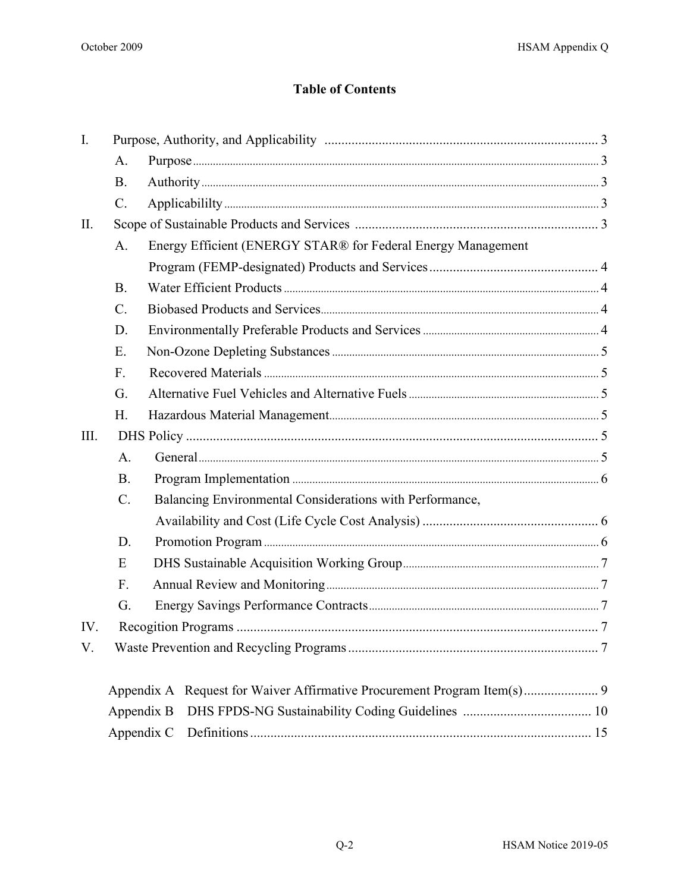# **Table of Contents**

| $\mathbf{I}$ . |                 |                                                                            |  |  |  |
|----------------|-----------------|----------------------------------------------------------------------------|--|--|--|
|                | A.              |                                                                            |  |  |  |
|                | <b>B.</b>       |                                                                            |  |  |  |
|                | $\mathcal{C}$ . |                                                                            |  |  |  |
| П.             |                 |                                                                            |  |  |  |
|                | A.              | Energy Efficient (ENERGY STAR® for Federal Energy Management               |  |  |  |
|                |                 |                                                                            |  |  |  |
|                | <b>B.</b>       |                                                                            |  |  |  |
|                | C.              |                                                                            |  |  |  |
|                | D.              |                                                                            |  |  |  |
|                | E.              |                                                                            |  |  |  |
|                | F.              |                                                                            |  |  |  |
|                | G.              |                                                                            |  |  |  |
|                | H.              |                                                                            |  |  |  |
| III.           |                 |                                                                            |  |  |  |
|                | A.              |                                                                            |  |  |  |
|                | <b>B.</b>       |                                                                            |  |  |  |
|                | C.              | Balancing Environmental Considerations with Performance,                   |  |  |  |
|                |                 |                                                                            |  |  |  |
|                | D.              |                                                                            |  |  |  |
|                | E               |                                                                            |  |  |  |
|                | F.              |                                                                            |  |  |  |
|                | G.              |                                                                            |  |  |  |
| IV.            |                 |                                                                            |  |  |  |
| V.             |                 |                                                                            |  |  |  |
|                |                 | Request for Waiver Affirmative Procurement Program Item(s) 9<br>Appendix A |  |  |  |
|                |                 | Appendix B                                                                 |  |  |  |
|                |                 | Appendix C                                                                 |  |  |  |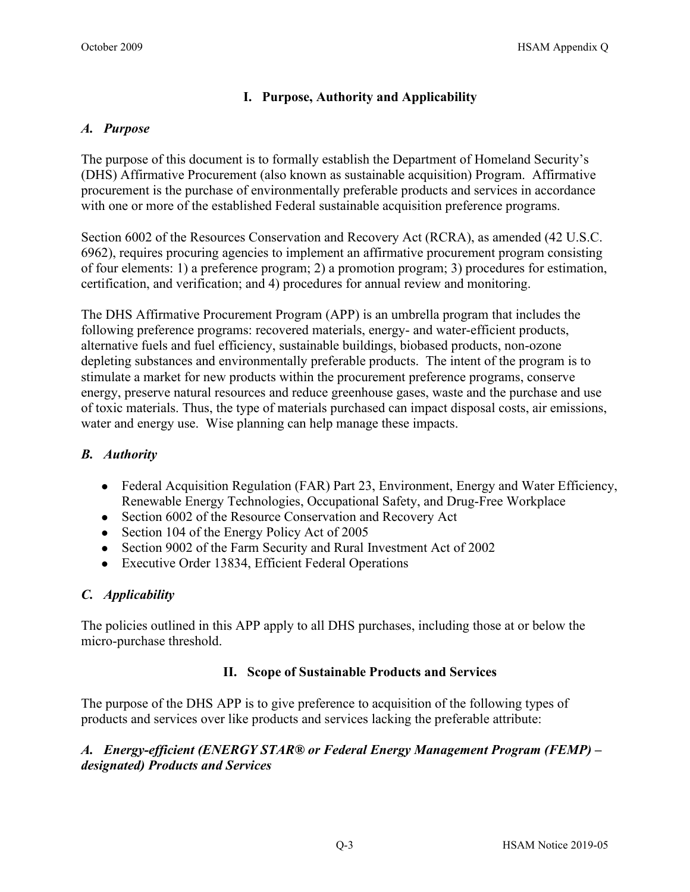## **I. Purpose, Authority and Applicability**

#### <span id="page-2-1"></span><span id="page-2-0"></span>*A. Purpose*

The purpose of this document is to formally establish the Department of Homeland Security's (DHS) Affirmative Procurement (also known as sustainable acquisition) Program. Affirmative procurement is the purchase of environmentally preferable products and services in accordance with one or more of the established Federal sustainable acquisition preference programs.

Section 6002 of the Resources Conservation and Recovery Act (RCRA), as amended (42 U.S.C. 6962), requires procuring agencies to implement an affirmative procurement program consisting of four elements: 1) a preference program; 2) a promotion program; 3) procedures for estimation, certification, and verification; and 4) procedures for annual review and monitoring.

The DHS Affirmative Procurement Program (APP) is an umbrella program that includes the following preference programs: recovered materials, energy- and water-efficient products, alternative fuels and fuel efficiency, sustainable buildings, biobased products, non-ozone depleting substances and environmentally preferable products. The intent of the program is to stimulate a market for new products within the procurement preference programs, conserve energy, preserve natural resources and reduce greenhouse gases, waste and the purchase and use of toxic materials. Thus, the type of materials purchased can impact disposal costs, air emissions, water and energy use. Wise planning can help manage these impacts.

## <span id="page-2-2"></span>*B. Authority*

- [Federal Acquisition Regulation \(FAR\) Part 23,](https://www.acquisition.gov/far/html/FARTOCP23.html) Environment, Energy and Water Efficiency, Renewable Energy Technologies, Occupational Safety, and Drug-Free Workplace
- Section 6002 of the Resource Conservation and Recovery Act
- Section 104 of the Energy Policy Act of 2005
- Section 9002 of the Farm Security and Rural Investment Act of 2002
- Executive Order 13834, Efficient Federal Operations

## <span id="page-2-3"></span>*C. Applicability*

The policies outlined in this APP apply to all DHS purchases, including those at or below the micro-purchase threshold.

## **II. Scope of Sustainable Products and Services**

<span id="page-2-4"></span>The purpose of the DHS APP is to give preference to acquisition of the following types of products and services over like products and services lacking the preferable attribute:

## <span id="page-2-5"></span>*A. Energy-efficient (ENERGY STAR® or Federal Energy Management Program (FEMP) – designated) Products and Services*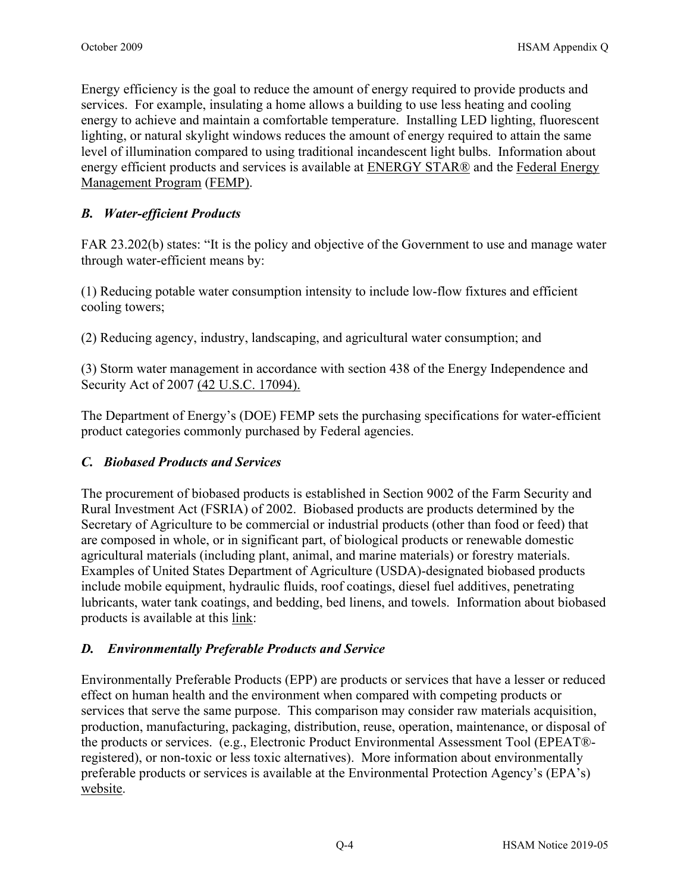Energy efficiency is the goal to reduce the amount of energy required to provide products and services. For example, insulating a home allows a building to use less heating and cooling energy to achieve and maintain a comfortable temperature. Installing LED lighting, fluorescent lighting, or natural skylight windows reduces the amount of energy required to attain the same level of illumination compared to using traditional incandescent light bulbs. Information about energy efficient products and services is available at [ENERGY STAR®](https://www.energystar.gov/products) and the Federal Energy [Management Program](https://www.energy.gov/eere/femp/federal-energy-management-program) (FEMP).

## <span id="page-3-0"></span>*B. Water-efficient Products*

FAR 23.202(b) states: "It is the policy and objective of the Government to use and manage water through water-efficient means by:

(1) Reducing potable water consumption intensity to include low-flow fixtures and efficient cooling towers;

(2) Reducing agency, industry, landscaping, and agricultural water consumption; and

(3) Storm water management in accordance with section 438 of the Energy Independence and Security Act of 2007 [\(42 U.S.C. 17094\)](http://uscode.house.gov/).

The Department of Energy's (DOE) FEMP sets the purchasing specifications for water-efficient product categories commonly purchased by Federal agencies.

## <span id="page-3-1"></span>*C. Biobased Products and Services*

The procurement of biobased products is established in Section 9002 of the Farm Security and Rural Investment Act (FSRIA) of 2002. Biobased products are products determined by the Secretary of Agriculture to be commercial or industrial products (other than food or feed) that are composed in whole, or in significant part, of biological products or renewable domestic agricultural materials (including plant, animal, and marine materials) or forestry materials. Examples of United States Department of Agriculture (USDA)-designated biobased products include mobile equipment, hydraulic fluids, roof coatings, diesel fuel additives, penetrating lubricants, water tank coatings, and bedding, bed linens, and towels. Information about biobased products is available at this [link:](https://www.biopreferred.gov/BioPreferred/)

## <span id="page-3-2"></span>*D. Environmentally Preferable Products and Service*

Environmentally Preferable Products (EPP) are products or services that have a lesser or reduced effect on human health and the environment when compared with competing products or services that serve the same purpose. This comparison may consider raw materials acquisition, production, manufacturing, packaging, distribution, reuse, operation, maintenance, or disposal of the products or services. (e.g., Electronic Product Environmental Assessment Tool (EPEAT® registered), or non-toxic or less toxic alternatives). More information about environmentally preferable products or services is available at the Environmental Protection Agency's (EPA's) [website.](https://www.epa.gov/greenerproducts/about-environmentally-preferable-purchasing-program)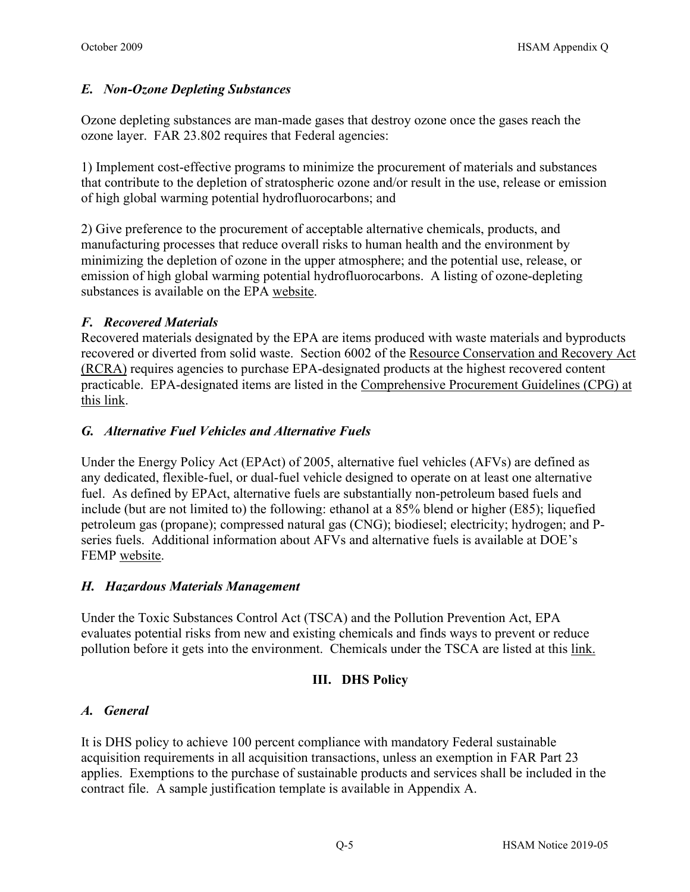## <span id="page-4-0"></span>*E. Non-Ozone Depleting Substances*

Ozone depleting substances are man-made gases that destroy ozone once the gases reach the ozone layer. FAR 23.802 requires that Federal agencies:

1) Implement cost-effective programs to minimize the procurement of materials and substances that contribute to the depletion of stratospheric ozone and/or result in the use, release or emission of high global warming potential hydrofluorocarbons; and

2) Give preference to the procurement of acceptable alternative chemicals, products, and manufacturing processes that reduce overall risks to human health and the environment by minimizing the depletion of ozone in the upper atmosphere; and the potential use, release, or emission of high global warming potential hydrofluorocarbons. A listing of ozone-depleting substances is available on the EPA [website.](https://www.epa.gov/snap)

## <span id="page-4-1"></span>*F. Recovered Materials*

Recovered materials designated by the EPA are items produced with waste materials and byproducts recovered or diverted from solid waste. Section 6002 of the Resource Conservation and Recovery Act (RCRA) requires agencies to purchase EPA-designated products at the highest recovered content practicable. EPA-designated items are listed in the [Comprehensive Procurement Guidelines \(CPG\) at](https://www.epa.gov/smm/comprehensive-procurement-guideline-cpg-program)  [this link.](https://www.epa.gov/smm/comprehensive-procurement-guideline-cpg-program)

## <span id="page-4-2"></span>*G. Alternative Fuel Vehicles and Alternative Fuels*

Under the Energy Policy Act (EPAct) of 2005, alternative fuel vehicles (AFVs) are defined as any dedicated, flexible-fuel, or dual-fuel vehicle designed to operate on at least one alternative fuel. As defined by EPAct, alternative fuels are substantially non-petroleum based fuels and include (but are not limited to) the following: ethanol at a 85% blend or higher (E85); liquefied petroleum gas (propane); compressed natural gas (CNG); biodiesel; electricity; hydrogen; and Pseries fuels. Additional information about AFVs and alternative fuels is available at DOE's FEMP [website.](https://www.energy.gov/eere/femp/federal-energy-management-program)

## <span id="page-4-3"></span>*H. Hazardous Materials Management*

<span id="page-4-4"></span>Under the Toxic Substances Control Act (TSCA) and the Pollution Prevention Act, EPA evaluates potential risks from new and existing chemicals and finds ways to prevent or reduce pollution before it gets into the environment. Chemicals under the TSCA are listed at this [link.](https://www.epa.gov/chemicals-under-tsca)

## **III. DHS Policy**

## <span id="page-4-5"></span>*A. General*

It is DHS policy to achieve 100 percent compliance with mandatory Federal sustainable acquisition requirements in all acquisition transactions, unless an exemption in FAR Part 23 applies. Exemptions to the purchase of sustainable products and services shall be included in the contract file. A sample justification template is available in Appendix A.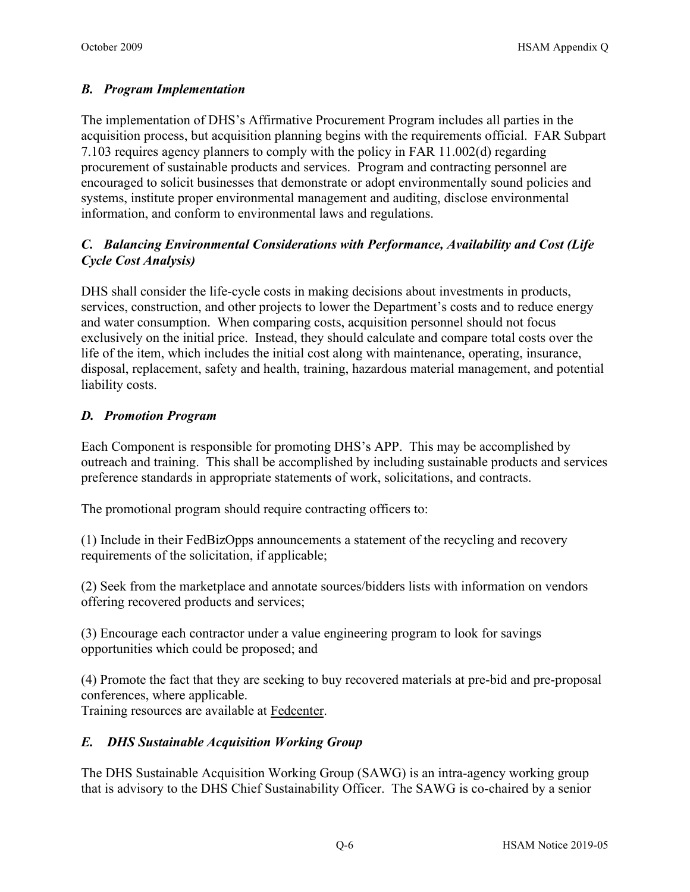## <span id="page-5-0"></span>*B. Program Implementation*

The implementation of DHS's Affirmative Procurement Program includes all parties in the acquisition process, but acquisition planning begins with the requirements official. FAR Subpart 7.103 requires agency planners to comply with the policy in FAR 11.002(d) regarding procurement of sustainable products and services. Program and contracting personnel are encouraged to solicit businesses that demonstrate or adopt environmentally sound policies and systems, institute proper environmental management and auditing, disclose environmental information, and conform to environmental laws and regulations.

## <span id="page-5-1"></span>*C. Balancing Environmental Considerations with Performance, Availability and Cost (Life Cycle Cost Analysis)*

DHS shall consider the life-cycle costs in making decisions about investments in products, services, construction, and other projects to lower the Department's costs and to reduce energy and water consumption. When comparing costs, acquisition personnel should not focus exclusively on the initial price. Instead, they should calculate and compare total costs over the life of the item, which includes the initial cost along with maintenance, operating, insurance, disposal, replacement, safety and health, training, hazardous material management, and potential liability costs.

## <span id="page-5-2"></span>*D. Promotion Program*

Each Component is responsible for promoting DHS's APP. This may be accomplished by outreach and training. This shall be accomplished by including sustainable products and services preference standards in appropriate statements of work, solicitations, and contracts.

The promotional program should require contracting officers to:

(1) Include in their FedBizOpps announcements a statement of the recycling and recovery requirements of the solicitation, if applicable;

(2) Seek from the marketplace and annotate sources/bidders lists with information on vendors offering recovered products and services;

(3) Encourage each contractor under a value engineering program to look for savings opportunities which could be proposed; and

(4) Promote the fact that they are seeking to buy recovered materials at pre-bid and pre-proposal conferences, where applicable.

<span id="page-5-3"></span>Training resources are available at [Fedcenter.](https://www.fedcenter.gov/)

## *E. DHS Sustainable Acquisition Working Group*

The DHS Sustainable Acquisition Working Group (SAWG) is an intra-agency working group that is advisory to the DHS Chief Sustainability Officer. The SAWG is co-chaired by a senior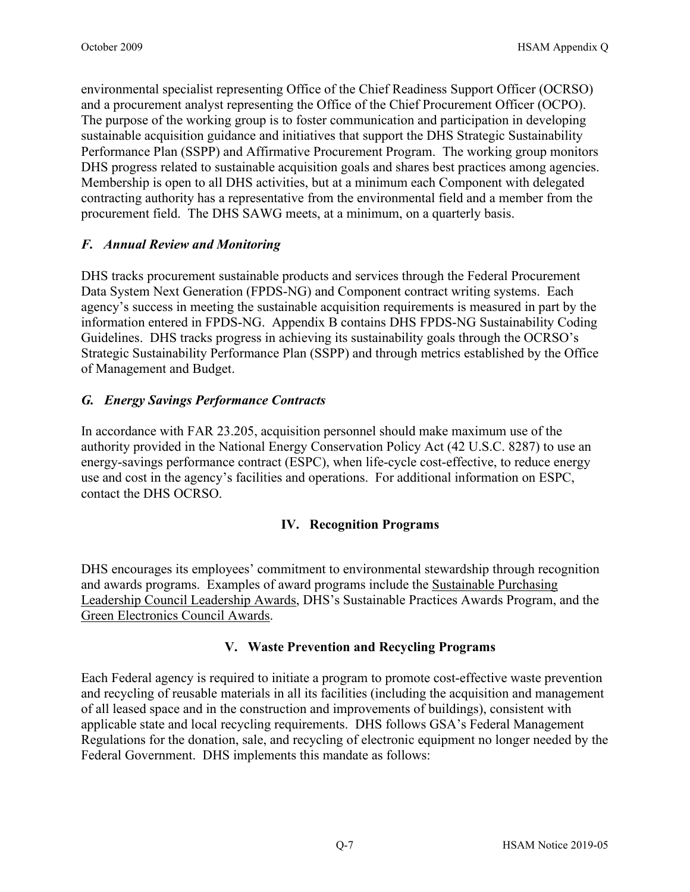environmental specialist representing Office of the Chief Readiness Support Officer (OCRSO) and a procurement analyst representing the Office of the Chief Procurement Officer (OCPO). The purpose of the working group is to foster communication and participation in developing sustainable acquisition guidance and initiatives that support the DHS Strategic Sustainability Performance Plan (SSPP) and Affirmative Procurement Program. The working group monitors DHS progress related to sustainable acquisition goals and shares best practices among agencies. Membership is open to all DHS activities, but at a minimum each Component with delegated contracting authority has a representative from the environmental field and a member from the procurement field. The DHS SAWG meets, at a minimum, on a quarterly basis.

## <span id="page-6-0"></span>*F. Annual Review and Monitoring*

DHS tracks procurement sustainable products and services through the Federal Procurement Data System Next Generation (FPDS-NG) and Component contract writing systems. Each agency's success in meeting the sustainable acquisition requirements is measured in part by the information entered in FPDS-NG. Appendix B contains DHS FPDS-NG Sustainability Coding Guidelines. DHS tracks progress in achieving its sustainability goals through the OCRSO's Strategic Sustainability Performance Plan (SSPP) and through metrics established by the Office of Management and Budget.

## <span id="page-6-1"></span>*G. Energy Savings Performance Contracts*

In accordance with FAR 23.205, acquisition personnel should make maximum use of the authority provided in the National Energy Conservation Policy Act (42 U.S.C. 8287) to use an energy-savings performance contract (ESPC), when life-cycle cost-effective, to reduce energy use and cost in the agency's facilities and operations. For additional information on ESPC, contact the DHS OCRSO.

## **IV. Recognition Programs**

<span id="page-6-2"></span>DHS encourages its employees' commitment to environmental stewardship through recognition and awards programs. Examples of award programs include the [Sustainable Purchasing](https://www.sustainablepurchasing.org/)  [Leadership Council Leadership Awards,](https://www.sustainablepurchasing.org/) DHS's Sustainable Practices Awards Program, and the [Green Electronics Council Awards.](https://greenelectronicscouncil.org/)

## **V. Waste Prevention and Recycling Programs**

<span id="page-6-3"></span>Each Federal agency is required to initiate a program to promote cost-effective waste prevention and recycling of reusable materials in all its facilities (including the acquisition and management of all leased space and in the construction and improvements of buildings), consistent with applicable state and local recycling requirements. DHS follows GSA's Federal Management Regulations for the donation, sale, and recycling of electronic equipment no longer needed by the Federal Government. DHS implements this mandate as follows: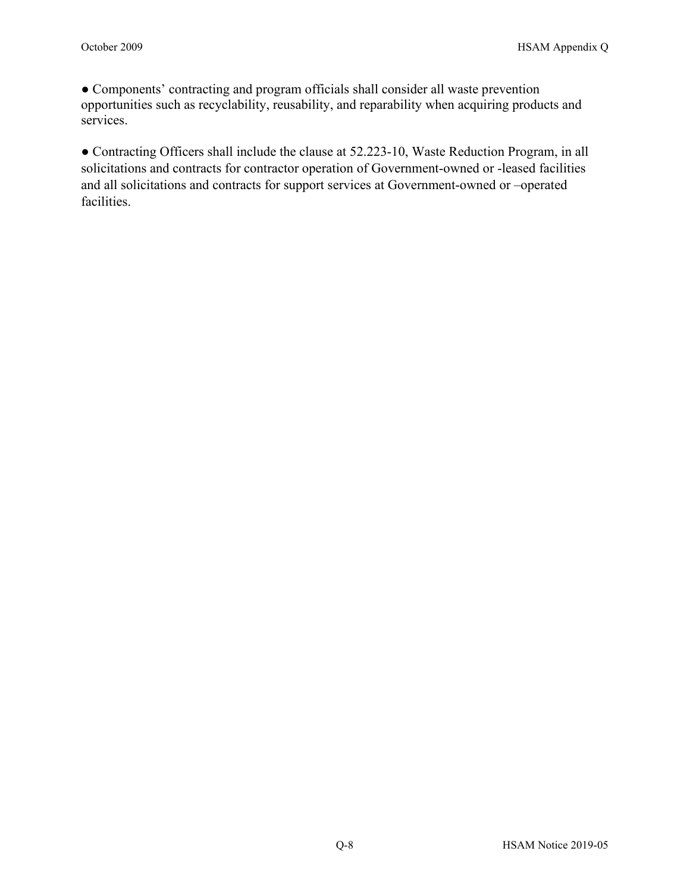● Components' contracting and program officials shall consider all waste prevention opportunities such as recyclability, reusability, and reparability when acquiring products and services.

<span id="page-7-0"></span>● Contracting Officers shall include the clause at [52.223-10,](http://farsite.hill.af.mil/reghtml/regs/far2afmcfars/fardfars/far/52_220.htm#P1405_239786) Waste Reduction Program, in all solicitations and contracts for contractor operation of Government-owned or -leased facilities and all solicitations and contracts for support services at Government-owned or –operated facilities.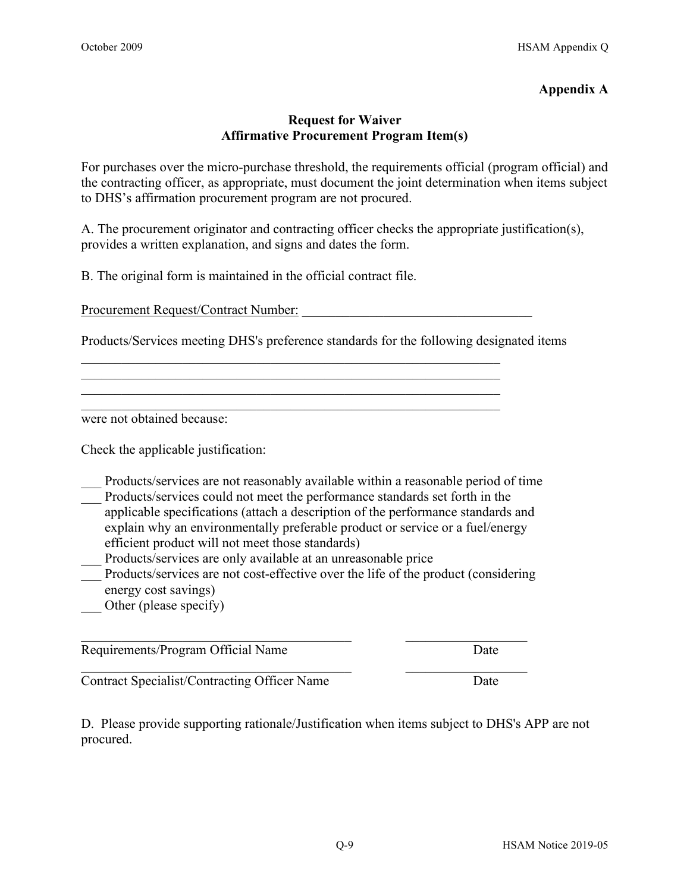#### **Appendix A**

#### **Request for Waiver Affirmative Procurement Program Item(s)**

For purchases over the micro-purchase threshold, the requirements official (program official) and the contracting officer, as appropriate, must document the joint determination when items subject to DHS's affirmation procurement program are not procured.

A. The procurement originator and contracting officer checks the appropriate justification(s), provides a written explanation, and signs and dates the form.

B. The original form is maintained in the official contract file.

Procurement Request/Contract Number:

Products/Services meeting DHS's preference standards for the following designated items

\_\_\_\_\_\_\_\_\_\_\_\_\_\_\_\_\_\_\_\_\_\_\_\_\_\_\_\_\_\_\_\_\_\_\_\_\_\_\_\_\_\_\_\_\_\_\_\_\_\_\_\_\_\_\_\_\_\_\_\_\_\_

\_\_\_\_\_\_\_\_\_\_\_\_\_\_\_\_\_\_\_\_\_\_\_\_\_\_\_\_\_\_\_\_\_\_\_\_\_\_\_\_\_\_\_\_\_\_\_\_\_\_\_\_\_\_\_\_\_\_\_\_\_\_

were not obtained because:

Check the applicable justification:

- Products/services are not reasonably available within a reasonable period of time
- Products/services could not meet the performance standards set forth in the applicable specifications (attach a description of the performance standards and explain why an environmentally preferable product or service or a fuel/energy efficient product will not meet those standards)
- Products/services are only available at an unreasonable price
- Products/services are not cost-effective over the life of the product (considering energy cost savings)

 $\mathcal{L}_\text{max}$  , and the contribution of the contribution of the contribution of the contribution of the contribution of the contribution of the contribution of the contribution of the contribution of the contribution of t

 $\_$  , and the set of the set of the set of the set of the set of the set of the set of the set of the set of the set of the set of the set of the set of the set of the set of the set of the set of the set of the set of th

Other (please specify)

Requirements/Program Official Name Date

Contract Specialist/Contracting Officer Name Date

D. Please provide supporting rationale/Justification when items subject to DHS's APP are not procured.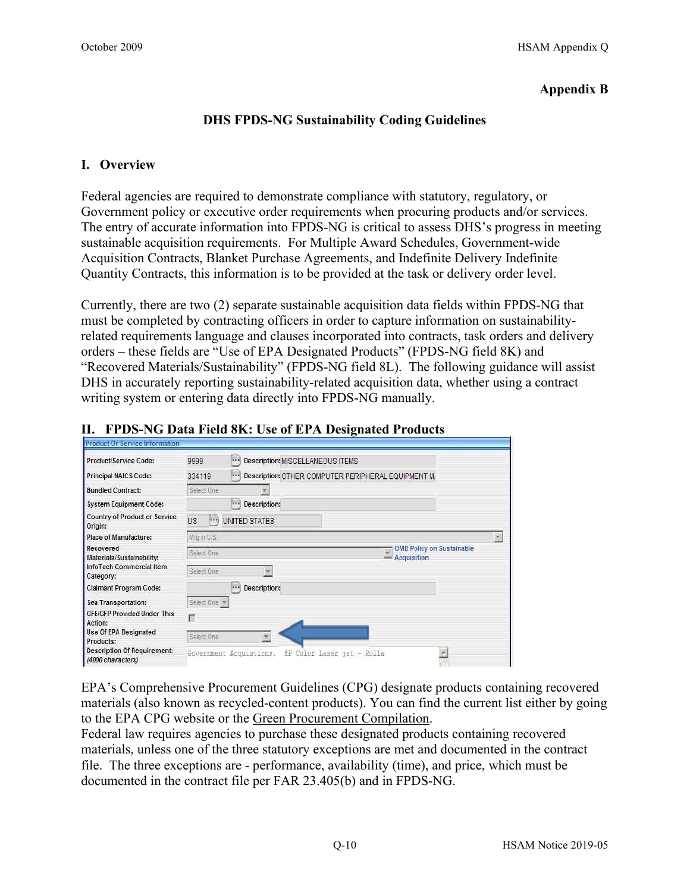#### **Appendix B**

#### **DHS FPDS-NG Sustainability Coding Guidelines**

#### **I. Overview**

Federal agencies are required to demonstrate compliance with statutory, regulatory, or Government policy or executive order requirements when procuring products and/or services. The entry of accurate information into FPDS-NG is critical to assess DHS's progress in meeting sustainable acquisition requirements. For Multiple Award Schedules, Government-wide Acquisition Contracts, Blanket Purchase Agreements, and Indefinite Delivery Indefinite Quantity Contracts, this information is to be provided at the task or delivery order level.

Currently, there are two (2) separate sustainable acquisition data fields within FPDS-NG that must be completed by contracting officers in order to capture information on sustainabilityrelated requirements language and clauses incorporated into contracts, task orders and delivery orders – these fields are "Use of EPA Designated Products" (FPDS-NG field 8K) and "Recovered Materials/Sustainability" (FPDS-NG field 8L). The following guidance will assist DHS in accurately reporting sustainability-related acquisition data, whether using a contract writing system or entering data directly into FPDS-NG manually.

| Product/Service Code:                                   | 9999           |                                               | ) Description: MISCELLANEOUS ITEMS                      |                                                   |                          |
|---------------------------------------------------------|----------------|-----------------------------------------------|---------------------------------------------------------|---------------------------------------------------|--------------------------|
| Principal NAICS Code:                                   | 334119         |                                               | *** Description: OTHER COMPUTER PERIPHERAL EQUIPMENT M. |                                                   |                          |
| <b>Bundled Contract:</b>                                | Select One     | $\overline{\phantom{a}}$                      |                                                         |                                                   |                          |
| <b>System Equipment Code:</b>                           |                | $\left  \ldots \right\rangle$<br>Description: |                                                         |                                                   |                          |
| <b>Country of Product or Service</b><br>Origin:         | <b>US</b><br>m | <b>UNITED STATES</b>                          |                                                         |                                                   |                          |
| <b>Place of Manufacture:</b>                            | Mfg.in U.S.    |                                               |                                                         |                                                   | $\overline{\mathcal{F}}$ |
| Recovered<br>Materials/Sustainability:                  | Select One     |                                               |                                                         | <b>OMB Policy on Sustainable</b><br>- Acquisition |                          |
| InfoTech Commercial Item<br>Category:                   | Select One     | $\overline{\mathbf{v}}$                       |                                                         |                                                   |                          |
| <b>Claimant Program Code:</b>                           |                | m<br>Description:                             |                                                         |                                                   |                          |
| Sea Transportation:                                     | Select One     |                                               |                                                         |                                                   |                          |
| <b>GFE/GFP Provided Under This</b><br>Action:           | г              |                                               |                                                         |                                                   |                          |
| <b>Use Of EPA Designated</b><br>Products:               | Select One     | ř                                             |                                                         |                                                   |                          |
| <b>Description Of Requirement:</b><br>(4000 characters) |                | Government Acquistions.                       | HP Color Laser jet - Rolla                              |                                                   |                          |

#### **II. FPDS-NG Data Field 8K: Use of EPA Designated Products**

EPA's Comprehensive Procurement Guidelines (CPG) designate products containing recovered materials (also known as recycled-content products). You can find the current list either by going to the EPA CPG website or the [Green Procurement Compilation.](https://sftool.gov/greenprocurement)

Federal law requires agencies to purchase these designated products containing recovered materials, unless one of the three statutory exceptions are met and documented in the contract file. The three exceptions are - performance, availability (time), and price, which must be documented in the contract file per FAR 23.405(b) and in FPDS-NG.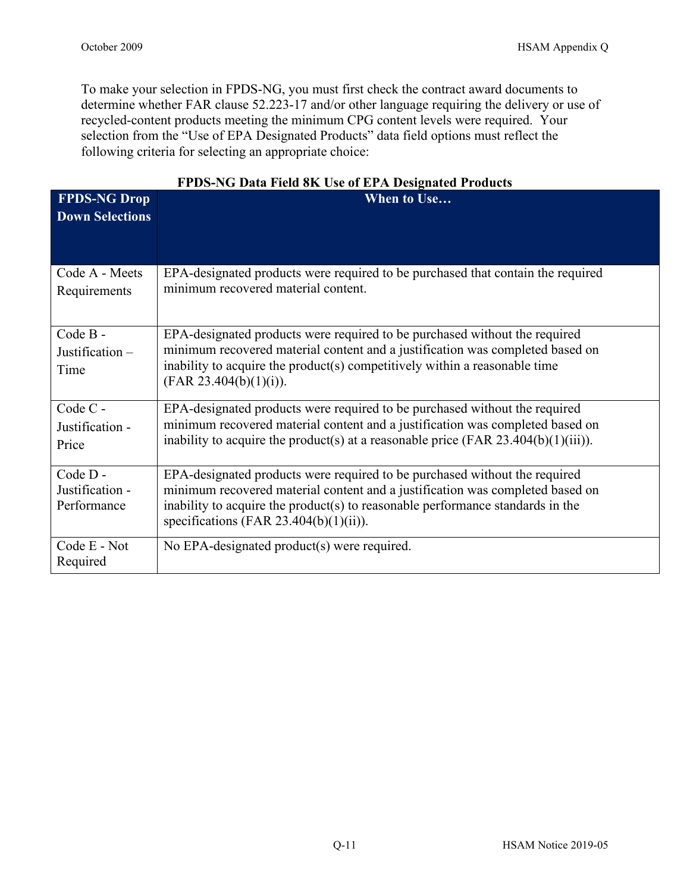To make your selection in FPDS-NG, you must first check the contract award documents to determine whether FAR clause 52.223-17 and/or other language requiring the delivery or use of recycled-content products meeting the minimum CPG content levels were required. Your selection from the "Use of EPA Designated Products" data field options must reflect the following criteria for selecting an appropriate choice:

| <b>FPDS-NG Drop</b>                       | TTDD TO DAM TRAVE ON OR OT ELIA DUSIGNATURI TURAUS<br>When to Use                                                                                                                                                                                                                       |
|-------------------------------------------|-----------------------------------------------------------------------------------------------------------------------------------------------------------------------------------------------------------------------------------------------------------------------------------------|
| <b>Down Selections</b>                    |                                                                                                                                                                                                                                                                                         |
| Code A - Meets<br>Requirements            | EPA-designated products were required to be purchased that contain the required<br>minimum recovered material content.                                                                                                                                                                  |
| Code B-<br>Justification -<br>Time        | EPA-designated products were required to be purchased without the required<br>minimum recovered material content and a justification was completed based on<br>inability to acquire the product(s) competitively within a reasonable time<br>(FAR 23.404(b)(1)(i)).                     |
| Code C -<br>Justification -<br>Price      | EPA-designated products were required to be purchased without the required<br>minimum recovered material content and a justification was completed based on<br>inability to acquire the product(s) at a reasonable price (FAR 23.404(b)(1)(iii)).                                       |
| Code D-<br>Justification -<br>Performance | EPA-designated products were required to be purchased without the required<br>minimum recovered material content and a justification was completed based on<br>inability to acquire the product(s) to reasonable performance standards in the<br>specifications (FAR 23.404(b)(1)(ii)). |
| Code E - Not<br>Required                  | No EPA-designated product(s) were required.                                                                                                                                                                                                                                             |

## **FPDS-NG Data Field 8K Use of EPA Designated Products**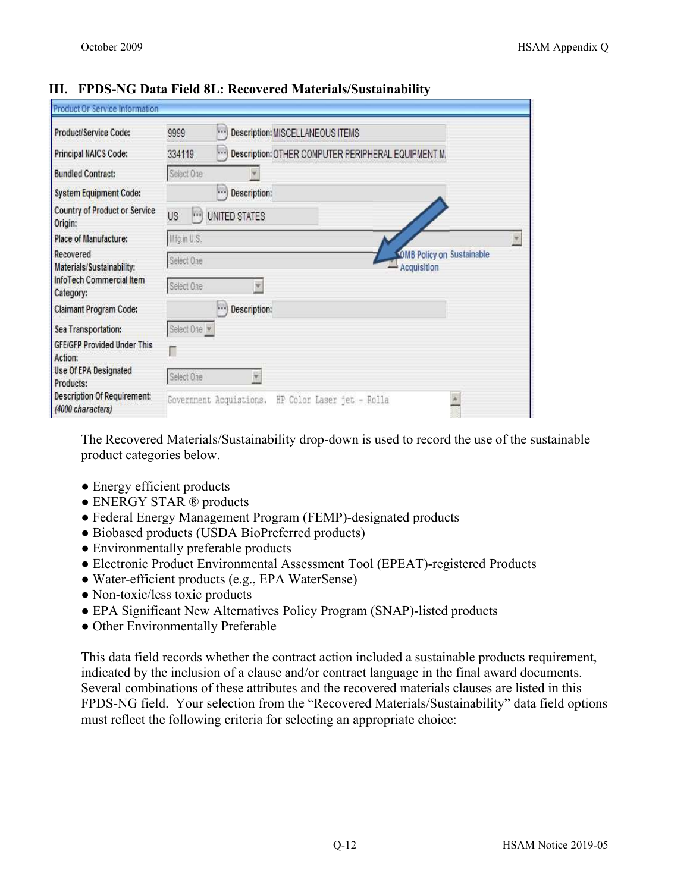| Product/Service Code:                                   | 9999           | $\cdots$<br>Description: MISCELLANEOUS ITEMS                    |                                                 |  |
|---------------------------------------------------------|----------------|-----------------------------------------------------------------|-------------------------------------------------|--|
| Principal NAICS Code:                                   | 334119         | $\cdots$<br>Description: OTHER COMPUTER PERIPHERAL EQUIPMENT M. |                                                 |  |
| <b>Bundled Contract:</b>                                | Select One     |                                                                 |                                                 |  |
| <b>System Equipment Code:</b>                           |                | <br>Description:                                                |                                                 |  |
| <b>Country of Product or Service</b><br>Origin:         | <b>US</b><br>h | UNITED STATES                                                   |                                                 |  |
| Place of Manufacture:                                   | Mfg in U.S.    |                                                                 |                                                 |  |
| Recovered<br>Materials/Sustainability:                  | Select One     |                                                                 | <b>OMB Policy on Sustainable</b><br>Acquisition |  |
| InfoTech Commercial Item<br>Category:                   | Select One     | $\mathbf{v}$                                                    |                                                 |  |
| Claimant Program Code:                                  |                | ν.<br>Description:                                              |                                                 |  |
| Sea Transportation:                                     | Select One     |                                                                 |                                                 |  |
| <b>GFE/GFP Provided Under This</b><br>Action:           | Г              |                                                                 |                                                 |  |
| <b>Use Of EPA Designated</b><br>Products:               | Select One     | ¥                                                               |                                                 |  |
| <b>Description Of Requirement:</b><br>(4000 characters) |                | Government Acquistions. HP Color Laser jet - Rolla              |                                                 |  |

#### **III. FPDS-NG Data Field 8L: Recovered Materials/Sustainability**

The Recovered Materials/Sustainability drop-down is used to record the use of the sustainable product categories below.

- Energy efficient products
- ENERGY STAR ® products
- Federal Energy Management Program (FEMP)-designated products
- Biobased products (USDA BioPreferred products)
- Environmentally preferable products
- Electronic Product Environmental Assessment Tool (EPEAT)-registered Products
- Water-efficient products (e.g., EPA WaterSense)
- Non-toxic/less toxic products
- EPA Significant New Alternatives Policy Program (SNAP)-listed products
- Other Environmentally Preferable

This data field records whether the contract action included a sustainable products requirement, indicated by the inclusion of a clause and/or contract language in the final award documents. Several combinations of these attributes and the recovered materials clauses are listed in this FPDS-NG field. Your selection from the "Recovered Materials/Sustainability" data field options must reflect the following criteria for selecting an appropriate choice: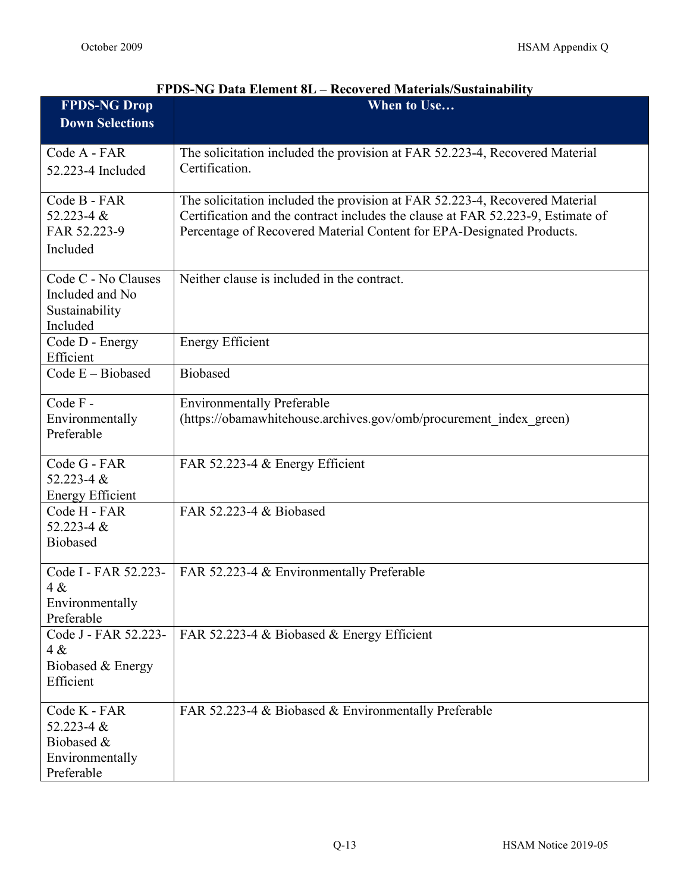| <b>FPDS-NG Drop</b>          | When to Use                                                                     |
|------------------------------|---------------------------------------------------------------------------------|
| <b>Down Selections</b>       |                                                                                 |
|                              |                                                                                 |
| Code A - FAR                 | The solicitation included the provision at FAR 52.223-4, Recovered Material     |
| 52.223-4 Included            | Certification.                                                                  |
| Code B - FAR                 | The solicitation included the provision at FAR 52.223-4, Recovered Material     |
| 52.223-4 &                   | Certification and the contract includes the clause at FAR 52.223-9, Estimate of |
| FAR 52.223-9                 | Percentage of Recovered Material Content for EPA-Designated Products.           |
| Included                     |                                                                                 |
| Code C - No Clauses          | Neither clause is included in the contract.                                     |
| Included and No              |                                                                                 |
| Sustainability               |                                                                                 |
| Included                     |                                                                                 |
| Code D - Energy<br>Efficient | <b>Energy Efficient</b>                                                         |
| Code E - Biobased            | <b>Biobased</b>                                                                 |
| Code F-                      | <b>Environmentally Preferable</b>                                               |
| Environmentally              | (https://obamawhitehouse.archives.gov/omb/procurement index green)              |
| Preferable                   |                                                                                 |
| Code G - FAR                 | FAR 52.223-4 & Energy Efficient                                                 |
| 52.223-4 $&$                 |                                                                                 |
| <b>Energy Efficient</b>      |                                                                                 |
| Code H - FAR                 | FAR 52.223-4 & Biobased                                                         |
| 52.223-4 &                   |                                                                                 |
| <b>Biobased</b>              |                                                                                 |
| Code I - FAR 52.223-         | FAR 52.223-4 & Environmentally Preferable                                       |
| 4 &<br>Environmentally       |                                                                                 |
| Preferable                   |                                                                                 |
| Code J - FAR 52.223-         | FAR 52.223-4 & Biobased & Energy Efficient                                      |
| 4 &                          |                                                                                 |
| Biobased & Energy            |                                                                                 |
| Efficient                    |                                                                                 |
| Code K - FAR                 | FAR 52.223-4 & Biobased & Environmentally Preferable                            |
| 52.223-4 $&$                 |                                                                                 |
| Biobased &                   |                                                                                 |
| Environmentally              |                                                                                 |
| Preferable                   |                                                                                 |

# **FPDS-NG Data Element 8L – Recovered Materials/Sustainability**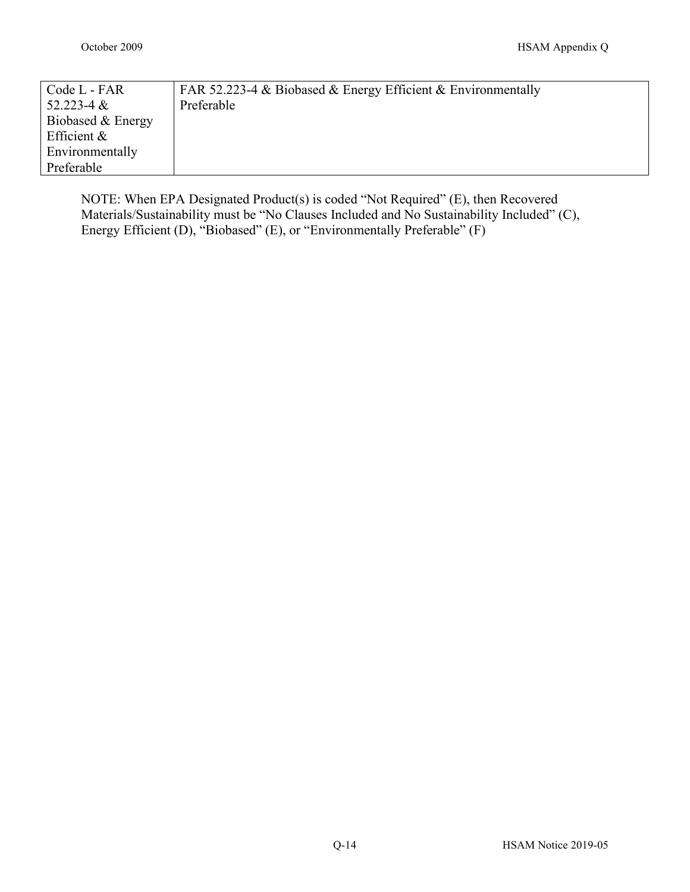| Code L - FAR      | FAR 52.223-4 & Biobased & Energy Efficient & Environmentally |
|-------------------|--------------------------------------------------------------|
| $52.223 - 4 &$    | Preferable                                                   |
| Biobased & Energy |                                                              |
| Efficient $\&$    |                                                              |
| Environmentally   |                                                              |
| Preferable        |                                                              |

<span id="page-13-0"></span>NOTE: When EPA Designated Product(s) is coded "Not Required" (E), then Recovered Materials/Sustainability must be "No Clauses Included and No Sustainability Included" (C), Energy Efficient (D), "Biobased" (E), or "Environmentally Preferable" (F)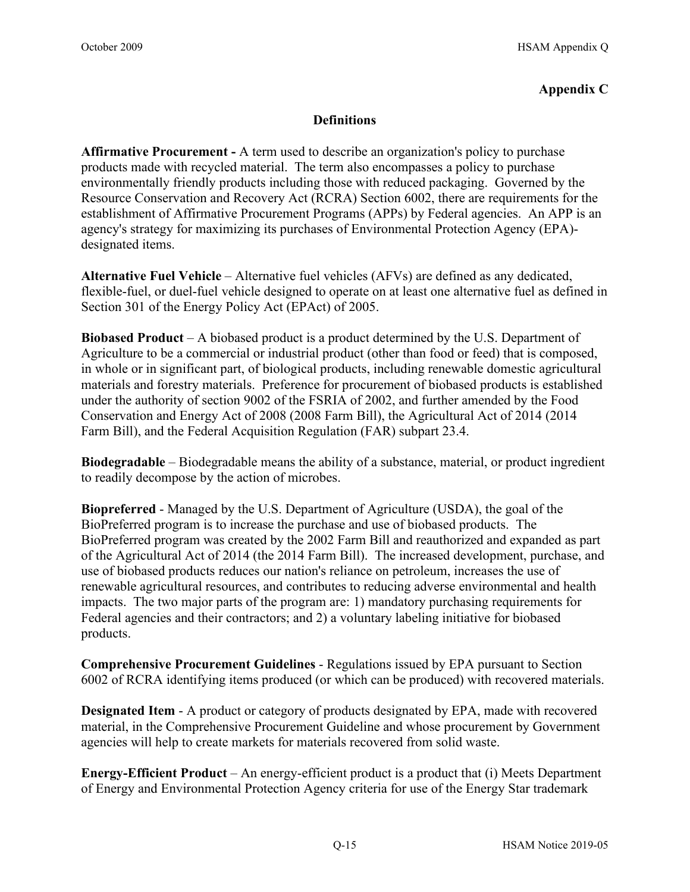## **Appendix C**

## **Definitions**

**Affirmative Procurement -** A term used to describe an organization's policy to purchase products made with recycled material. The term also encompasses a policy to purchase environmentally friendly products including those with reduced packaging. Governed by the Resource Conservation and Recovery Act (RCRA) Section 6002, there are requirements for the establishment of Affirmative Procurement Programs (APPs) by Federal agencies. An APP is an agency's strategy for maximizing its purchases of Environmental Protection Agency (EPA) designated items.

**Alternative Fuel Vehicle** – Alternative fuel vehicles (AFVs) are defined as any dedicated, flexible-fuel, or duel-fuel vehicle designed to operate on at least one alternative fuel as defined in Section 301 of the Energy Policy Act (EPAct) of 2005.

**Biobased Product** – A biobased product is a product determined by the U.S. Department of Agriculture to be a commercial or industrial product (other than food or feed) that is composed, in whole or in significant part, of biological products, including renewable domestic agricultural materials and forestry materials. Preference for procurement of biobased products is established under the authority of section 9002 of the FSRIA of 2002, and further amended by the Food Conservation and Energy Act of 2008 (2008 Farm Bill), the Agricultural Act of 2014 (2014 Farm Bill), and the Federal Acquisition Regulation (FAR) subpart 23.4.

**Biodegradable** – Biodegradable means the ability of a substance, material, or product ingredient to readily decompose by the action of microbes.

**Biopreferred** - Managed by the U.S. Department of Agriculture (USDA), the goal of the BioPreferred program is to increase the purchase and use of biobased products. The BioPreferred program was created by the 2002 Farm Bill and reauthorized and expanded as part of the Agricultural Act of 2014 (the 2014 Farm Bill). The increased development, purchase, and use of biobased products reduces our nation's reliance on petroleum, increases the use of renewable agricultural resources, and contributes to reducing adverse environmental and health impacts. The two major parts of the program are: 1) mandatory purchasing requirements for Federal agencies and their contractors; and 2) a voluntary labeling initiative for biobased products.

**Comprehensive Procurement Guidelines** - Regulations issued by EPA pursuant to Section 6002 of RCRA identifying items produced (or which can be produced) with recovered materials.

**Designated Item** - A product or category of products designated by EPA, made with recovered material, in the Comprehensive Procurement Guideline and whose procurement by Government agencies will help to create markets for materials recovered from solid waste.

**Energy-Efficient Product** – An energy-efficient product is a product that (i) Meets Department of Energy and Environmental Protection Agency criteria for use of the Energy Star trademark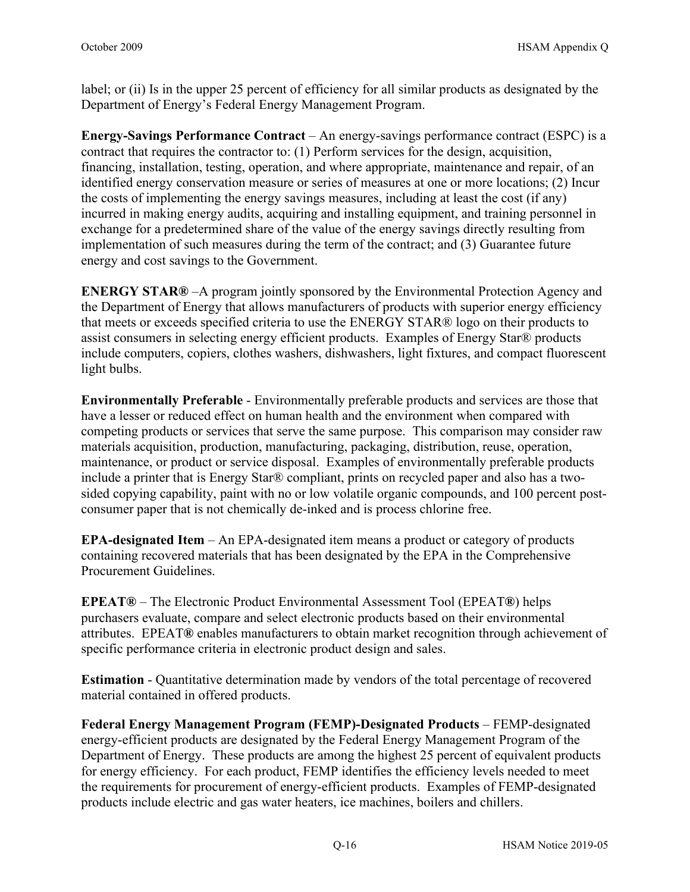label; or (ii) Is in the upper 25 percent of efficiency for all similar products as designated by the Department of Energy's Federal Energy Management Program.

**Energy-Savings Performance Contract** – An energy-savings performance contract (ESPC) is a contract that requires the contractor to: (1) Perform services for the design, acquisition, financing, installation, testing, operation, and where appropriate, maintenance and repair, of an identified energy conservation measure or series of measures at one or more locations; (2) Incur the costs of implementing the energy savings measures, including at least the cost (if any) incurred in making energy audits, acquiring and installing equipment, and training personnel in exchange for a predetermined share of the value of the energy savings directly resulting from implementation of such measures during the term of the contract; and (3) Guarantee future energy and cost savings to the Government.

**ENERGY STAR®** –A program jointly sponsored by the Environmental Protection Agency and the Department of Energy that allows manufacturers of products with superior energy efficiency that meets or exceeds specified criteria to use the ENERGY STAR® logo on their products to assist consumers in selecting energy efficient products. Examples of Energy Star® products include computers, copiers, clothes washers, dishwashers, light fixtures, and compact fluorescent light bulbs.

**Environmentally Preferable** - Environmentally preferable products and services are those that have a lesser or reduced effect on human health and the environment when compared with competing products or services that serve the same purpose. This comparison may consider raw materials acquisition, production, manufacturing, packaging, distribution, reuse, operation, maintenance, or product or service disposal. Examples of environmentally preferable products include a printer that is Energy Star® compliant, prints on recycled paper and also has a twosided copying capability, paint with no or low volatile organic compounds, and 100 percent postconsumer paper that is not chemically de-inked and is process chlorine free.

**EPA-designated Item** – An EPA-designated item means a product or category of products containing recovered materials that has been designated by the EPA in the Comprehensive Procurement Guidelines.

**EPEAT®** – The Electronic Product Environmental Assessment Tool (EPEAT**®**) helps purchasers evaluate, compare and select electronic products based on their environmental attributes. EPEAT**®** enables manufacturers to obtain market recognition through achievement of specific performance criteria in electronic product design and sales.

**Estimation** - Quantitative determination made by vendors of the total percentage of recovered material contained in offered products.

**Federal Energy Management Program (FEMP)-Designated Products** – FEMP-designated energy-efficient products are designated by the Federal Energy Management Program of the Department of Energy. These products are among the highest 25 percent of equivalent products for energy efficiency. For each product, FEMP identifies the efficiency levels needed to meet the requirements for procurement of energy-efficient products. Examples of FEMP-designated products include electric and gas water heaters, ice machines, boilers and chillers.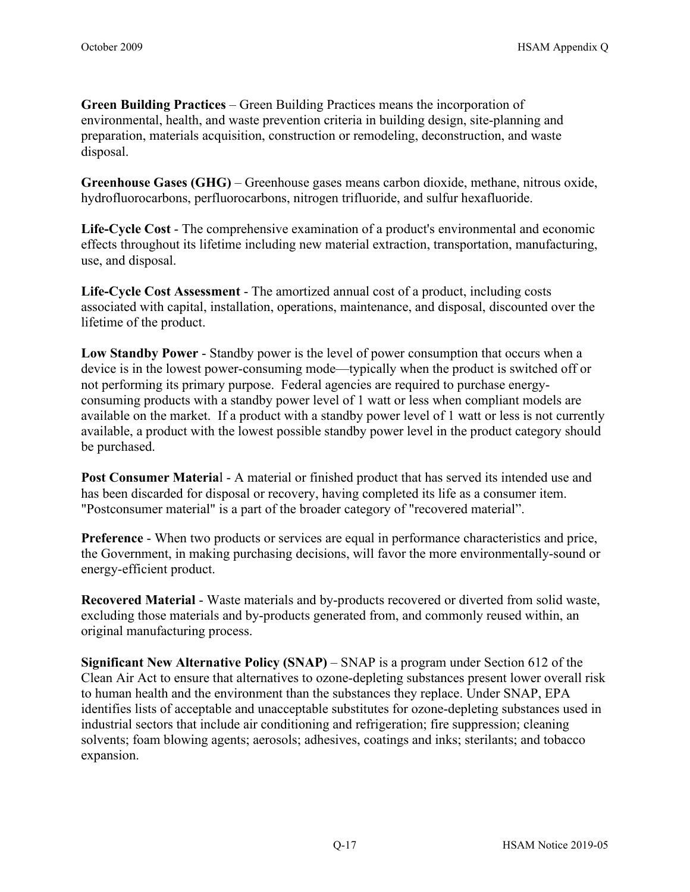**Green Building Practices** – Green Building Practices means the incorporation of environmental, health, and waste prevention criteria in building design, site-planning and preparation, materials acquisition, construction or remodeling, deconstruction, and waste disposal.

**Greenhouse Gases (GHG)** – Greenhouse gases means carbon dioxide, methane, nitrous oxide, hydrofluorocarbons, perfluorocarbons, nitrogen trifluoride, and sulfur hexafluoride.

**Life-Cycle Cost** - The comprehensive examination of a product's environmental and economic effects throughout its lifetime including new material extraction, transportation, manufacturing, use, and disposal.

**Life-Cycle Cost Assessment** - The amortized annual cost of a product, including costs associated with capital, installation, operations, maintenance, and disposal, discounted over the lifetime of the product.

**Low Standby Power** - Standby power is the level of power consumption that occurs when a device is in the lowest power-consuming mode—typically when the product is switched off or not performing its primary purpose. Federal agencies are [required](https://www4.eere.energy.gov/femp/requirements/laws_and_requirements/federal_purchasing_requirement) to purchase energyconsuming products with a standby power level of 1 watt or less when compliant models are available on the market. If a product with a standby power level of 1 watt or less is not currently available, a product with the lowest possible standby power level in the product category should be purchased.

**Post Consumer Materia**l - A material or finished product that has served its intended use and has been discarded for disposal or recovery, having completed its life as a consumer item. "Postconsumer material" is a part of the broader category of "recovered material".

**Preference** - When two products or services are equal in performance characteristics and price, the Government, in making purchasing decisions, will favor the more environmentally-sound or energy-efficient product.

**Recovered Material** - Waste materials and by-products recovered or diverted from solid waste, excluding those materials and by-products generated from, and commonly reused within, an original manufacturing process.

**Significant New Alternative Policy (SNAP)** – SNAP is a program under Section 612 of the Clean Air Act to ensure that alternatives to ozone-depleting substances present lower overall risk to human health and the environment than the substances they replace. Under SNAP, EPA identifies lists of acceptable and unacceptable substitutes for ozone-depleting substances used in industrial sectors that include air conditioning and refrigeration; fire suppression; cleaning solvents; foam blowing agents; aerosols; adhesives, coatings and inks; sterilants; and tobacco expansion.